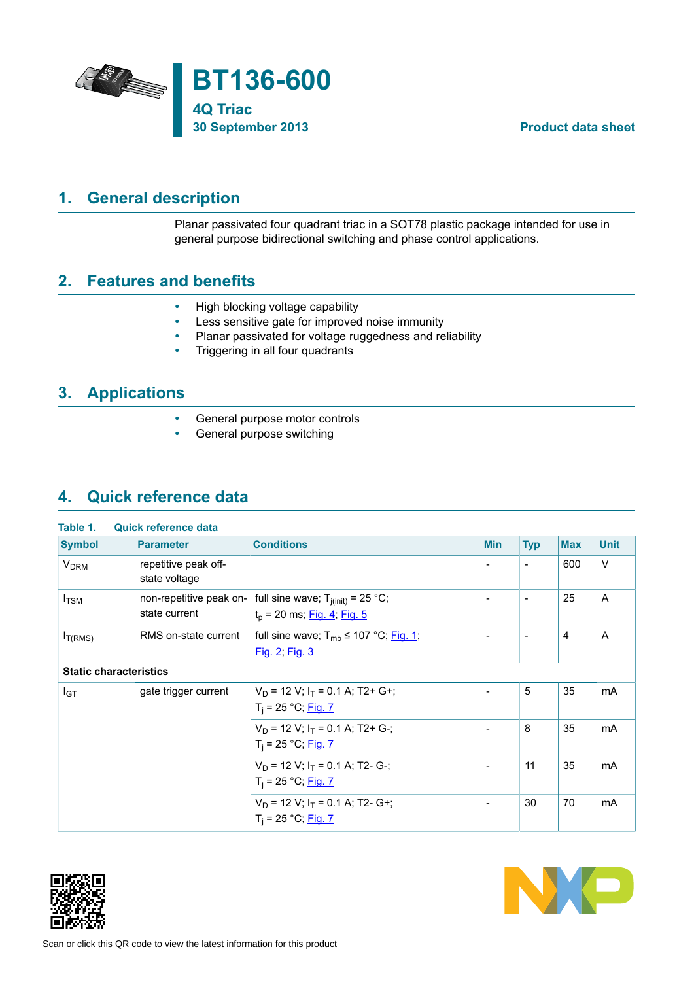

## **1. General description**

<span id="page-0-0"></span>Planar passivated four quadrant triac in a SOT78 plastic package intended for use in general purpose bidirectional switching and phase control applications.

## **2. Features and benefits**

- <span id="page-0-1"></span>• High blocking voltage capability<br>• Less sensitive gate for improved
- Less sensitive gate for improved noise immunity
- Planar passivated for voltage ruggedness and reliability<br>• Triggering in all four quadrants
- Triggering in all four quadrants

## **3. Applications**

- <span id="page-0-2"></span>• General purpose motor controls
- <span id="page-0-3"></span>• General purpose switching

## **4. Quick reference data**

| <b>Symbol</b>                 | <b>Parameter</b>                         | <b>Conditions</b>                                                      | <b>Min</b>               | <b>Typ</b>               | <b>Max</b> | <b>Unit</b>  |
|-------------------------------|------------------------------------------|------------------------------------------------------------------------|--------------------------|--------------------------|------------|--------------|
| <b>V<sub>DRM</sub></b>        | repetitive peak off-<br>state voltage    |                                                                        |                          | $\overline{a}$           | 600        | $\vee$       |
| $I_{\rm TSM}$                 | non-repetitive peak on-<br>state current | full sine wave; $T_{j(int)} = 25$ °C;<br>$t_p$ = 20 ms; Fig. 4; Fig. 5 |                          | $\overline{\phantom{a}}$ | 25         | $\mathsf{A}$ |
| $I_{T(RMS)}$                  | RMS on-state current                     | full sine wave; $T_{mb} \le 107 \degree C$ ; Fig. 1;<br>Fig. 2; Fig. 3 |                          | $\overline{\phantom{a}}$ | 4          | A            |
| <b>Static characteristics</b> |                                          |                                                                        |                          |                          |            |              |
| $I_{GT}$                      | gate trigger current                     | $V_D$ = 12 V; $I_T$ = 0.1 A; T2+ G+;<br>$T_i = 25 °C;$ Fig. 7          |                          | 5                        | 35         | mA           |
|                               |                                          | $V_D$ = 12 V; $I_T$ = 0.1 A; T2+ G-;<br>$T_i = 25 °C;$ Fig. 7          | $\overline{\phantom{a}}$ | 8                        | 35         | mA           |
|                               |                                          | $V_D$ = 12 V; $I_T$ = 0.1 A; T2- G-;<br>$T_i = 25 °C;$ Fig. 7          |                          | 11                       | 35         | mA           |
|                               |                                          | $V_D$ = 12 V; $I_T$ = 0.1 A; T2- G+;<br>$T_i = 25 °C;$ Fig. 7          |                          | 30                       | 70         | mA           |



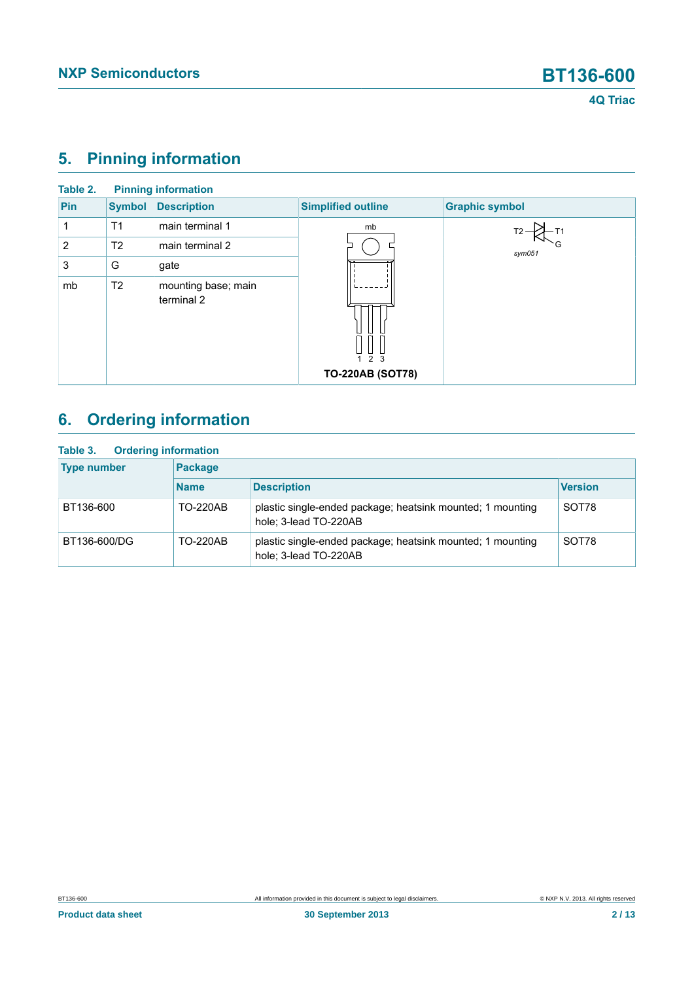# <span id="page-1-0"></span>**5. Pinning information**

| Table 2. |                | <b>Pinning information</b>        |                                                          |                       |
|----------|----------------|-----------------------------------|----------------------------------------------------------|-----------------------|
| Pin      | <b>Symbol</b>  | <b>Description</b>                | <b>Simplified outline</b>                                | <b>Graphic symbol</b> |
|          | T <sub>1</sub> | main terminal 1                   | mb                                                       |                       |
| 2        | T <sub>2</sub> | main terminal 2                   |                                                          | $s$ ym $051$          |
| 3        | G              | gate                              |                                                          |                       |
| mb       | T <sub>2</sub> | mounting base; main<br>terminal 2 | $\frac{11}{2}$ $\frac{11}{3}$<br><b>TO-220AB (SOT78)</b> |                       |
|          |                |                                   |                                                          |                       |

# <span id="page-1-1"></span>**6. Ordering information**

| <b>Ordering information</b><br>Table 3. |                 |                                                                                     |                |
|-----------------------------------------|-----------------|-------------------------------------------------------------------------------------|----------------|
| <b>Type number</b>                      | Package         |                                                                                     |                |
|                                         | <b>Name</b>     | <b>Description</b>                                                                  | <b>Version</b> |
| BT136-600                               | <b>TO-220AB</b> | plastic single-ended package; heatsink mounted; 1 mounting<br>hole; 3-lead TO-220AB | SOT78          |
| BT136-600/DG                            | <b>TO-220AB</b> | plastic single-ended package; heatsink mounted; 1 mounting<br>hole; 3-lead TO-220AB | SOT78          |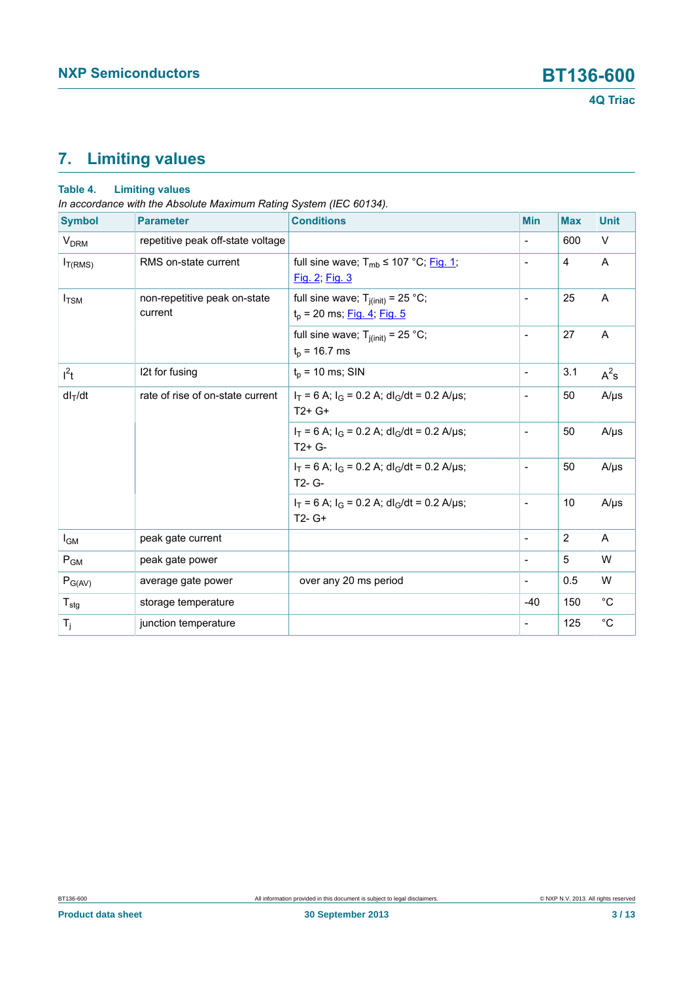# <span id="page-2-0"></span>**7. Limiting values**

### **Table 4. Limiting values**

*In accordance with the Absolute Maximum Rating System (IEC 60134).*

| <b>Symbol</b>             | <b>Parameter</b>                        | <b>Conditions</b>                                                         | <b>Min</b>               | <b>Max</b> | <b>Unit</b>  |
|---------------------------|-----------------------------------------|---------------------------------------------------------------------------|--------------------------|------------|--------------|
| <b>V<sub>DRM</sub></b>    | repetitive peak off-state voltage       |                                                                           | $\overline{\phantom{a}}$ | 600        | V            |
| $I_{T(RMS)}$              | RMS on-state current                    | full sine wave; $T_{mb} \le 107$ °C; Fig. 1;<br>Fig. 2; Fig. 3            | $\overline{\phantom{a}}$ | 4          | A            |
| $I_{\rm TSM}$             | non-repetitive peak on-state<br>current | full sine wave; $T_{j(int)} = 25 °C$ ;<br>$t_p$ = 20 ms; Fig. 4; Fig. 5   | $\overline{\phantom{a}}$ | 25         | Α            |
|                           |                                         | full sine wave; $T_{j(int)} = 25 °C$ ;<br>$t_p = 16.7$ ms                 | $\overline{\phantom{a}}$ | 27         | A            |
| $I^2t$                    | 12t for fusing                          | $t_p$ = 10 ms; SIN                                                        | $\overline{\phantom{a}}$ | 3.1        | $A^2$ s      |
| $dl_T/dt$                 | rate of rise of on-state current        | $I_T = 6$ A; $I_G = 0.2$ A; dl <sub>G</sub> /dt = 0.2 A/µs;<br>$T2+G+$    | $\frac{1}{2}$            | 50         | $A/\mu s$    |
|                           |                                         | $I_T = 6$ A; $I_G = 0.2$ A; dl <sub>G</sub> /dt = 0.2 A/µs;<br>$T2+G-$    | $\overline{\phantom{a}}$ | 50         | $A/\mu s$    |
|                           |                                         | $I_T = 6$ A; $I_G = 0.2$ A; dl <sub>G</sub> /dt = 0.2 A/µs;<br>$T2 - G -$ | $\overline{\phantom{a}}$ | 50         | $A/\mu s$    |
|                           |                                         | $I_T = 6$ A; $I_G = 0.2$ A; dl <sub>G</sub> /dt = 0.2 A/µs;<br>$T2 - G+$  | $\overline{\phantom{a}}$ | 10         | $A/\mu s$    |
| $I_{GM}$                  | peak gate current                       |                                                                           | $\overline{\phantom{a}}$ | 2          | A            |
| $P_{GM}$                  | peak gate power                         |                                                                           | $\overline{\phantom{a}}$ | 5          | W            |
| $P_{G(AV)}$               | average gate power                      | over any 20 ms period                                                     | $\qquad \qquad -$        | 0.5        | W            |
| $\mathsf{T}_{\text{stg}}$ | storage temperature                     |                                                                           | $-40$                    | 150        | $^{\circ}$ C |
| $T_j$                     | junction temperature                    |                                                                           | $\overline{\phantom{a}}$ | 125        | $^{\circ}C$  |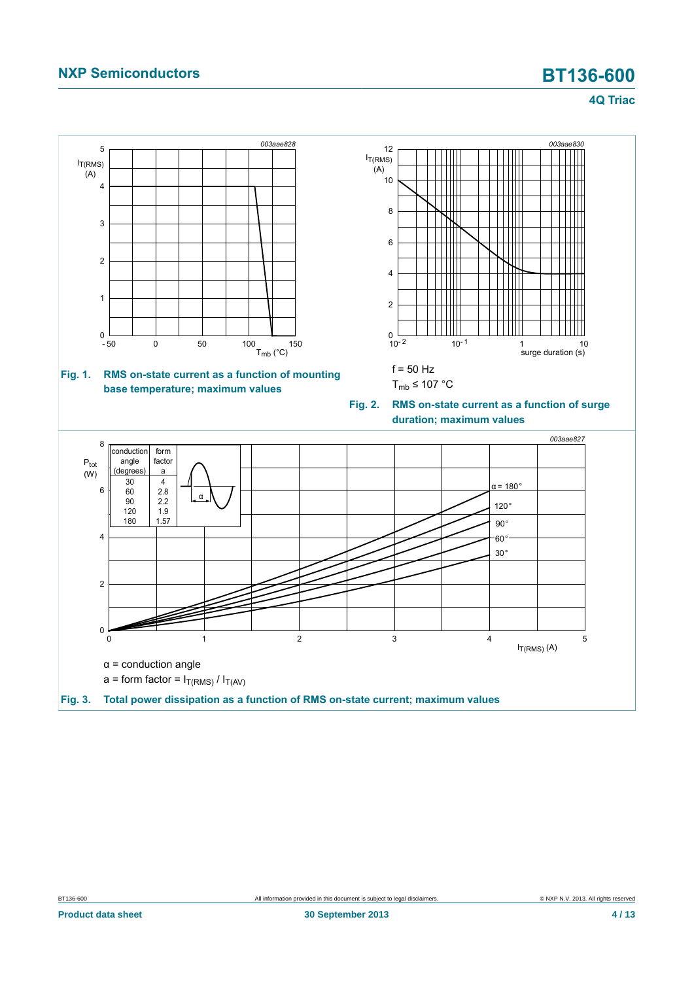<span id="page-3-2"></span><span id="page-3-1"></span><span id="page-3-0"></span>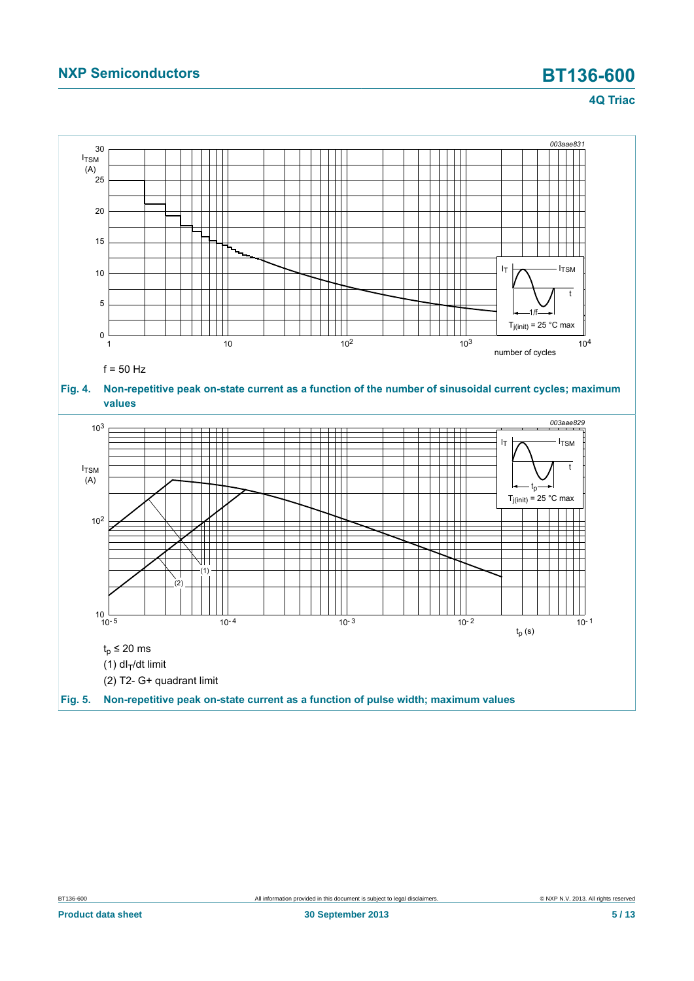<span id="page-4-1"></span><span id="page-4-0"></span>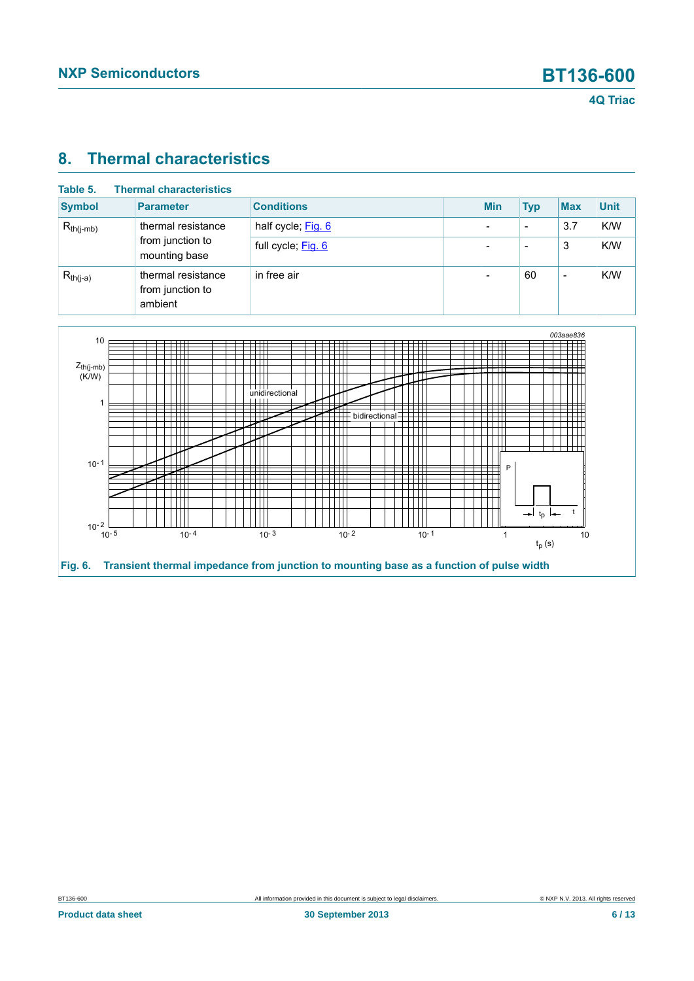# <span id="page-5-1"></span>**8. Thermal characteristics**

| Table 5.       | <b>Thermal characteristics</b>                    |                    |            |                          |                          |             |
|----------------|---------------------------------------------------|--------------------|------------|--------------------------|--------------------------|-------------|
| <b>Symbol</b>  | <b>Parameter</b>                                  | <b>Conditions</b>  | <b>Min</b> | <b>Typ</b>               | <b>Max</b>               | <b>Unit</b> |
| $R_{th(i-mb)}$ | thermal resistance                                | half cycle; Fig. 6 | -          | $\overline{\phantom{0}}$ | 3.7                      | K/W         |
|                | from junction to<br>mounting base                 | full cycle; Fig. 6 | -          | $\overline{\phantom{0}}$ | 3                        | K/W         |
| $R_{th(j-a)}$  | thermal resistance<br>from junction to<br>ambient | in free air        | -          | 60                       | $\overline{\phantom{0}}$ | K/W         |

<span id="page-5-0"></span>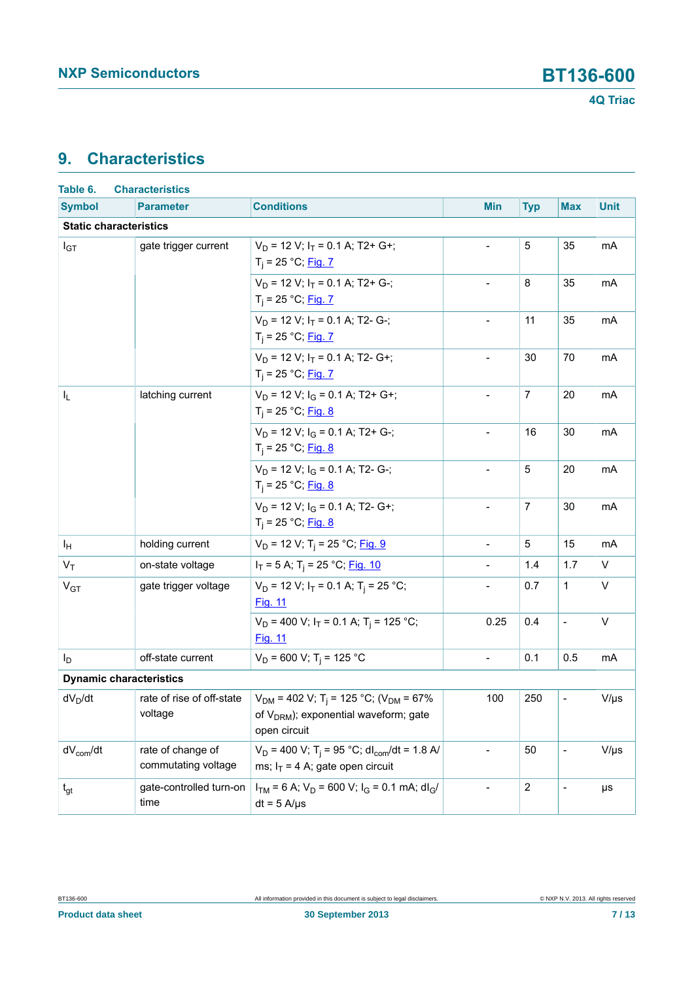# <span id="page-6-0"></span>**9. Characteristics**

| Table 6.                       | <b>Characteristics</b>                   |                                                                                                                                        |                          |                  |                          |             |
|--------------------------------|------------------------------------------|----------------------------------------------------------------------------------------------------------------------------------------|--------------------------|------------------|--------------------------|-------------|
| <b>Symbol</b>                  | <b>Parameter</b>                         | <b>Conditions</b>                                                                                                                      | <b>Min</b>               | <b>Typ</b>       | <b>Max</b>               | <b>Unit</b> |
| <b>Static characteristics</b>  |                                          |                                                                                                                                        |                          |                  |                          |             |
| $I_{GT}$                       | gate trigger current                     | $V_D$ = 12 V; $I_T$ = 0.1 A; T2+ G+;<br>$T_i = 25 °C;$ Fig. 7                                                                          | $\blacksquare$           | 5                | 35                       | mA          |
|                                |                                          | $V_D$ = 12 V; $I_T$ = 0.1 A; T2+ G-;<br>$T_i = 25 °C;$ Fig. 7                                                                          | $\blacksquare$           | 8                | 35                       | mA          |
|                                |                                          | $V_D$ = 12 V; $I_T$ = 0.1 A; T2- G-;<br>$T_i = 25 °C;$ Fig. 7                                                                          |                          | 11               | 35                       | mA          |
|                                |                                          | $V_D$ = 12 V; $I_T$ = 0.1 A; T2- G+;<br>$T_i = 25 °C;$ Fig. 7                                                                          |                          | 30               | 70                       | mA          |
| I <sub>L</sub>                 | latching current                         | $V_D$ = 12 V; $I_G$ = 0.1 A; T2+ G+;<br>$T_i = 25 °C;$ Fig. 8                                                                          | $\blacksquare$           | $\overline{7}$   | 20                       | mA          |
|                                |                                          | $V_D$ = 12 V; $I_G$ = 0.1 A; T2+ G-;<br>$T_i = 25 °C;$ Fig. 8                                                                          | $\overline{\phantom{a}}$ | 16               | 30                       | mA          |
|                                |                                          | $V_D$ = 12 V; $I_G$ = 0.1 A; T2- G-;<br>$T_i = 25 °C;$ Fig. 8                                                                          |                          | 5                | 20                       | mA          |
|                                |                                          | $V_D$ = 12 V; $I_G$ = 0.1 A; T2- G+;<br>$T_i = 25 °C;$ Fig. 8                                                                          | $\blacksquare$           | $\overline{7}$   | 30                       | mA          |
| Iн                             | holding current                          | $V_D$ = 12 V; T <sub>i</sub> = 25 °C; Fig. 9                                                                                           | $\overline{\phantom{a}}$ | 5                | 15                       | mA          |
| $V_T$                          | on-state voltage                         | $I_T$ = 5 A; T <sub>i</sub> = 25 °C; <u>Fig. 10</u>                                                                                    |                          | 1.4              | 1.7                      | V           |
| V <sub>GT</sub>                | gate trigger voltage                     | $V_D$ = 12 V; $I_T$ = 0.1 A; T <sub>i</sub> = 25 °C;<br>Fig. 11                                                                        |                          | 0.7              | $\mathbf{1}$             | V           |
|                                |                                          | $V_D$ = 400 V; $I_T$ = 0.1 A; T <sub>i</sub> = 125 °C;<br><b>Fig. 11</b>                                                               | 0.25                     | 0.4              | $\blacksquare$           | $\vee$      |
| $I_D$                          | off-state current                        | $V_D$ = 600 V; T <sub>i</sub> = 125 °C                                                                                                 | $\blacksquare$           | 0.1              | 0.5                      | mA          |
| <b>Dynamic characteristics</b> |                                          |                                                                                                                                        |                          |                  |                          |             |
| $dV_D/dt$                      | rate of rise of off-state<br>voltage     | $V_{DM}$ = 402 V; T <sub>i</sub> = 125 °C; (V <sub>DM</sub> = 67%<br>of V <sub>DRM</sub> ); exponential waveform; gate<br>open circuit | 100                      | 250              | $\overline{\phantom{a}}$ | $V/\mu s$   |
| $dV_{com}/dt$                  | rate of change of<br>commutating voltage | $V_D$ = 400 V; T <sub>i</sub> = 95 °C; dl <sub>com</sub> /dt = 1.8 A/<br>ms; $I_T = 4$ A; gate open circuit                            | $\overline{\phantom{a}}$ | 50               | $\overline{\phantom{a}}$ | $V/\mu s$   |
| $t_{gt}$                       | gate-controlled turn-on<br>time          | $I_{TM}$ = 6 A; $V_D$ = 600 V; $I_G$ = 0.1 mA; dl <sub>G</sub> /<br>$dt = 5$ A/ $\mu$ s                                                |                          | $\boldsymbol{2}$ | $\overline{\phantom{a}}$ | μs          |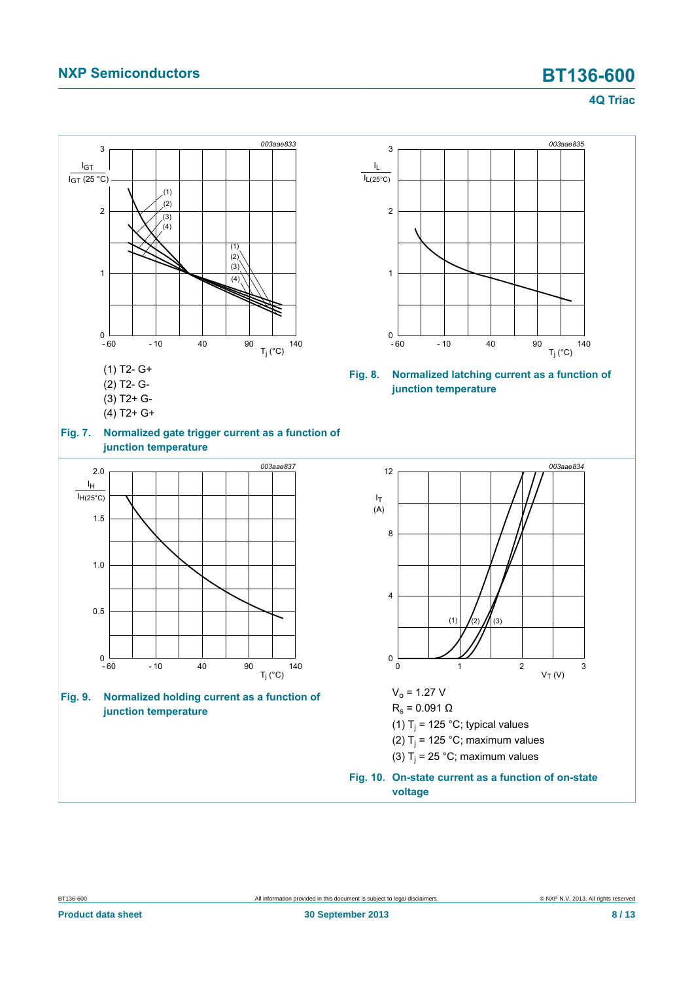<span id="page-7-3"></span><span id="page-7-2"></span><span id="page-7-1"></span><span id="page-7-0"></span>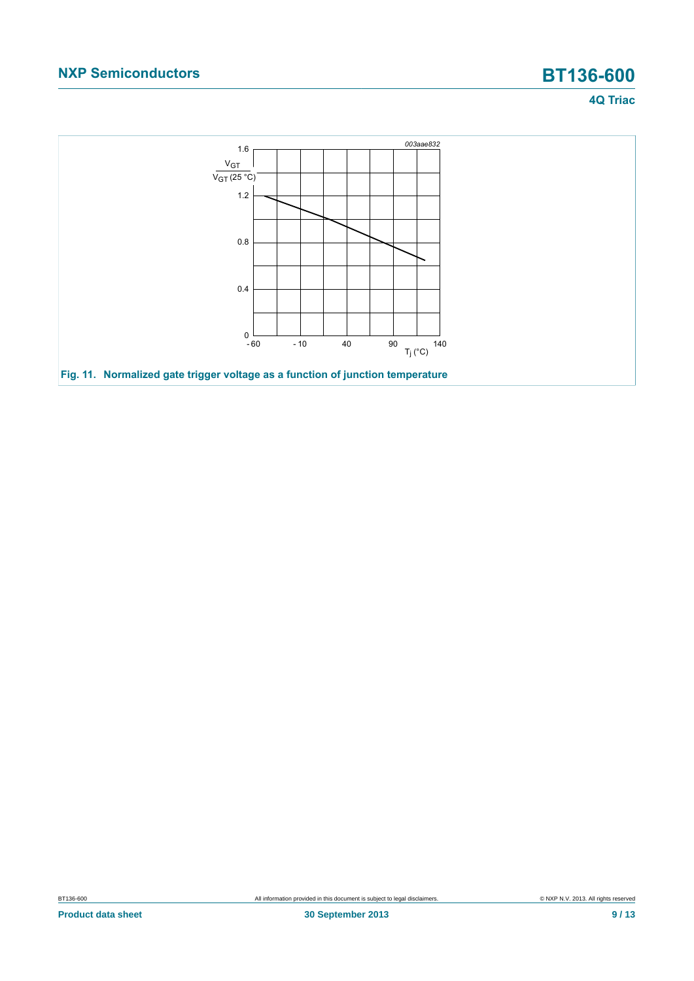<span id="page-8-0"></span>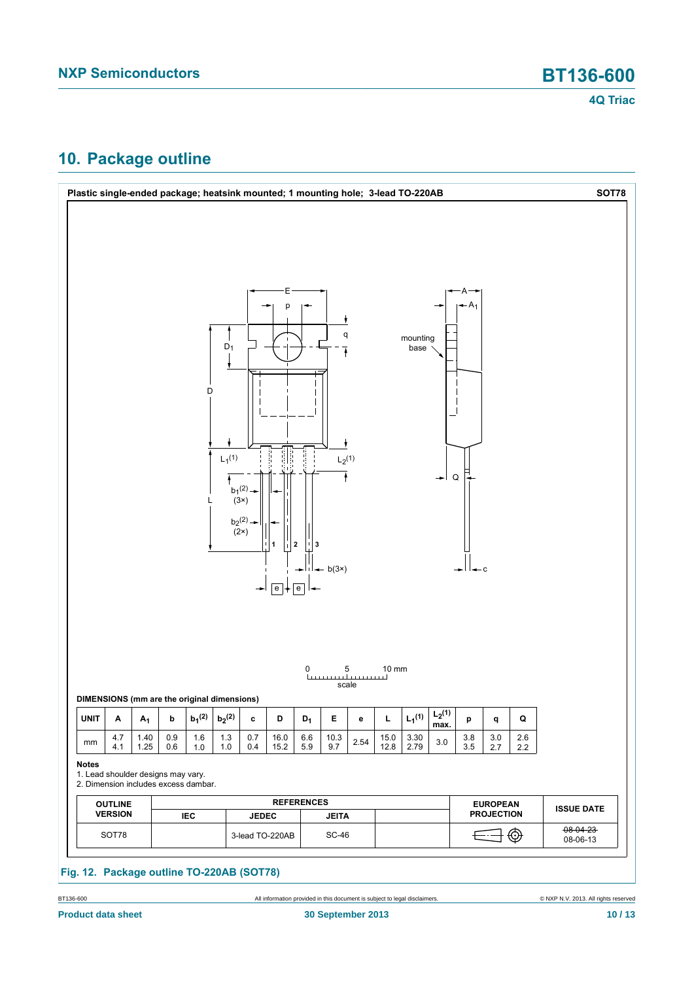# <span id="page-9-0"></span>**10. Package outline**



BT136-600 All information provided in this document is subject to legal disclaimers. © NXP N.V. 2013. All rights reserved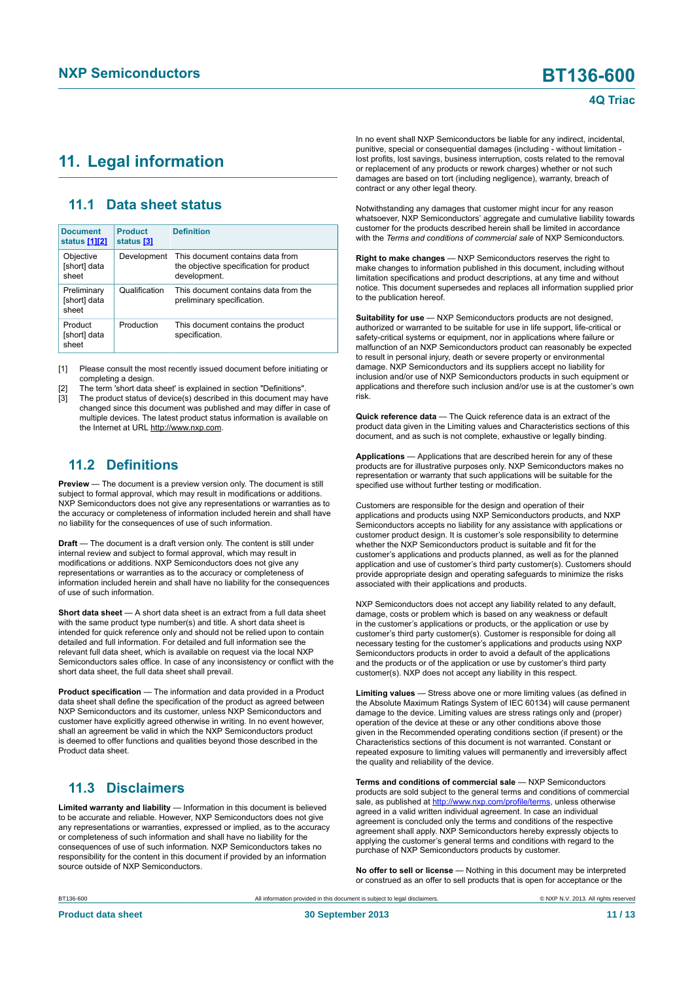### <span id="page-10-1"></span><span id="page-10-0"></span>**11. Legal information**

### <span id="page-10-2"></span>**11.1 Data sheet status**

| <b>Document</b><br>status [1][2]     | <b>Product</b><br>status [3] | <b>Definition</b>                                                                           |
|--------------------------------------|------------------------------|---------------------------------------------------------------------------------------------|
| Objective<br>[short] data<br>sheet   | Development                  | This document contains data from<br>the objective specification for product<br>development. |
| Preliminary<br>[short] data<br>sheet | Qualification                | This document contains data from the<br>preliminary specification.                          |
| Product<br>[short] data<br>sheet     | Production                   | This document contains the product<br>specification.                                        |

[1] Please consult the most recently issued document before initiating or completing a design.

[2] The term 'short data sheet' is explained in section "Definitions".

The product status of device(s) described in this document may have changed since this document was published and may differ in case of multiple devices. The latest product status information is available on the Internet at URL http://www.nxp.com.

### <span id="page-10-3"></span>**11.2 Definitions**

**Preview** — The document is a preview version only. The document is still subject to formal approval, which may result in modifications or additions. NXP Semiconductors does not give any representations or warranties as to the accuracy or completeness of information included herein and shall have no liability for the consequences of use of such information.

**Draft** — The document is a draft version only. The content is still under internal review and subject to formal approval, which may result in modifications or additions. NXP Semiconductors does not give any representations or warranties as to the accuracy or completeness of information included herein and shall have no liability for the consequences of use of such information.

**Short data sheet** — A short data sheet is an extract from a full data sheet with the same product type number(s) and title. A short data sheet is intended for quick reference only and should not be relied upon to contain detailed and full information. For detailed and full information see the relevant full data sheet, which is available on request via the local NXP Semiconductors sales office. In case of any inconsistency or conflict with the short data sheet, the full data sheet shall prevail.

**Product specification** — The information and data provided in a Product data sheet shall define the specification of the product as agreed between NXP Semiconductors and its customer, unless NXP Semiconductors and customer have explicitly agreed otherwise in writing. In no event however, shall an agreement be valid in which the NXP Semiconductors product is deemed to offer functions and qualities beyond those described in the Product data sheet.

### <span id="page-10-4"></span>**11.3 Disclaimers**

**Limited warranty and liability** — Information in this document is believed to be accurate and reliable. However, NXP Semiconductors does not give any representations or warranties, expressed or implied, as to the accuracy or completeness of such information and shall have no liability for the consequences of use of such information. NXP Semiconductors takes no responsibility for the content in this document if provided by an information source outside of NXP Semiconductors.

In no event shall NXP Semiconductors be liable for any indirect, incidental, punitive, special or consequential damages (including - without limitation lost profits, lost savings, business interruption, costs related to the removal or replacement of any products or rework charges) whether or not such damages are based on tort (including negligence), warranty, breach of contract or any other legal theory.

Notwithstanding any damages that customer might incur for any reason whatsoever, NXP Semiconductors' aggregate and cumulative liability towards customer for the products described herein shall be limited in accordance with the *Terms and conditions of commercial sale* of NXP Semiconductors.

**Right to make changes** — NXP Semiconductors reserves the right to make changes to information published in this document, including without limitation specifications and product descriptions, at any time and without notice. This document supersedes and replaces all information supplied prior to the publication hereof.

**Suitability for use** — NXP Semiconductors products are not designed, authorized or warranted to be suitable for use in life support, life-critical or safety-critical systems or equipment, nor in applications where failure or malfunction of an NXP Semiconductors product can reasonably be expected to result in personal injury, death or severe property or environmental damage. NXP Semiconductors and its suppliers accept no liability for inclusion and/or use of NXP Semiconductors products in such equipment or applications and therefore such inclusion and/or use is at the customer's own risk.

**Quick reference data** — The Quick reference data is an extract of the product data given in the Limiting values and Characteristics sections of this document, and as such is not complete, exhaustive or legally binding.

**Applications** — Applications that are described herein for any of these products are for illustrative purposes only. NXP Semiconductors makes no representation or warranty that such applications will be suitable for the specified use without further testing or modification.

Customers are responsible for the design and operation of their applications and products using NXP Semiconductors products, and NXP Semiconductors accepts no liability for any assistance with applications or customer product design. It is customer's sole responsibility to determine whether the NXP Semiconductors product is suitable and fit for the customer's applications and products planned, as well as for the planned application and use of customer's third party customer(s). Customers should provide appropriate design and operating safeguards to minimize the risks associated with their applications and products.

NXP Semiconductors does not accept any liability related to any default, damage, costs or problem which is based on any weakness or default in the customer's applications or products, or the application or use by customer's third party customer(s). Customer is responsible for doing all necessary testing for the customer's applications and products using NXP Semiconductors products in order to avoid a default of the applications and the products or of the application or use by customer's third party customer(s). NXP does not accept any liability in this respect.

**Limiting values** — Stress above one or more limiting values (as defined in the Absolute Maximum Ratings System of IEC 60134) will cause permanent damage to the device. Limiting values are stress ratings only and (proper) operation of the device at these or any other conditions above those given in the Recommended operating conditions section (if present) or the Characteristics sections of this document is not warranted. Constant or repeated exposure to limiting values will permanently and irreversibly affect the quality and reliability of the device.

**Terms and conditions of commercial sale** — NXP Semiconductors products are sold subject to the general terms and conditions of commercial sale, as published at<http://www.nxp.com/profile/terms>, unless otherwise agreed in a valid written individual agreement. In case an individual agreement is concluded only the terms and conditions of the respective agreement shall apply. NXP Semiconductors hereby expressly objects to applying the customer's general terms and conditions with regard to the purchase of NXP Semiconductors products by customer.

**No offer to sell or license** — Nothing in this document may be interpreted or construed as an offer to sell products that is open for acceptance or the

**Product data sheet 30 September 2013 11 / 13**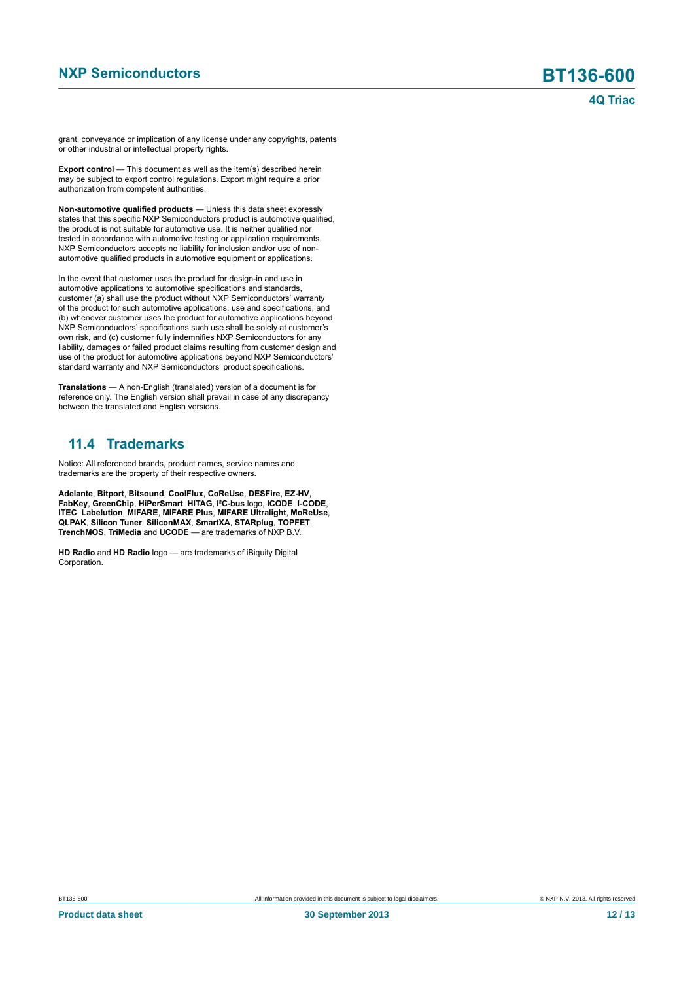grant, conveyance or implication of any license under any copyrights, patents or other industrial or intellectual property rights.

**Export control** — This document as well as the item(s) described herein may be subject to export control regulations. Export might require a prior authorization from competent authorities.

**Non-automotive qualified products** — Unless this data sheet expressly states that this specific NXP Semiconductors product is automotive qualified, the product is not suitable for automotive use. It is neither qualified nor tested in accordance with automotive testing or application requirements. NXP Semiconductors accepts no liability for inclusion and/or use of nonautomotive qualified products in automotive equipment or applications.

In the event that customer uses the product for design-in and use in automotive applications to automotive specifications and standards, customer (a) shall use the product without NXP Semiconductors' warranty of the product for such automotive applications, use and specifications, and (b) whenever customer uses the product for automotive applications beyond NXP Semiconductors' specifications such use shall be solely at customer's own risk, and (c) customer fully indemnifies NXP Semiconductors for any liability, damages or failed product claims resulting from customer design and use of the product for automotive applications beyond NXP Semiconductors' standard warranty and NXP Semiconductors' product specifications.

**Translations** — A non-English (translated) version of a document is for reference only. The English version shall prevail in case of any discrepancy between the translated and English versions.

### <span id="page-11-0"></span>**11.4 Trademarks**

Notice: All referenced brands, product names, service names and trademarks are the property of their respective owners.

**Adelante**, **Bitport**, **Bitsound**, **CoolFlux**, **CoReUse**, **DESFire**, **EZ-HV**, **FabKey**, **GreenChip**, **HiPerSmart**, **HITAG**, **I²C-bus** logo, **ICODE**, **I-CODE**, **ITEC**, **Labelution**, **MIFARE**, **MIFARE Plus**, **MIFARE Ultralight**, **MoReUse**, **QLPAK**, **Silicon Tuner**, **SiliconMAX**, **SmartXA**, **STARplug**, **TOPFET**, **TrenchMOS**, **TriMedia** and **UCODE** — are trademarks of NXP B.V.

**HD Radio** and **HD Radio** logo — are trademarks of iBiquity Digital Corporation.